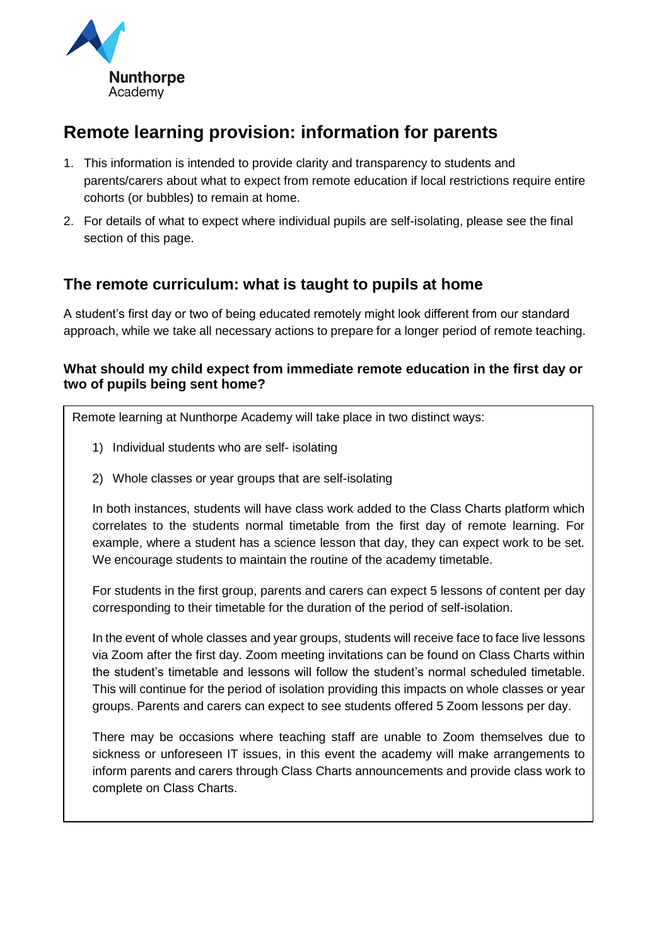

# **Remote learning provision: information for parents**

- 1. This information is intended to provide clarity and transparency to students and parents/carers about what to expect from remote education if local restrictions require entire cohorts (or bubbles) to remain at home.
- 2. For details of what to expect where individual pupils are self-isolating, please see the final section of this page.

## **The remote curriculum: what is taught to pupils at home**

A student's first day or two of being educated remotely might look different from our standard approach, while we take all necessary actions to prepare for a longer period of remote teaching.

### **What should my child expect from immediate remote education in the first day or two of pupils being sent home?**

Remote learning at Nunthorpe Academy will take place in two distinct ways:

- 1) Individual students who are self- isolating
- 2) Whole classes or year groups that are self-isolating

In both instances, students will have class work added to the Class Charts platform which correlates to the students normal timetable from the first day of remote learning. For example, where a student has a science lesson that day, they can expect work to be set. We encourage students to maintain the routine of the academy timetable.

For students in the first group, parents and carers can expect 5 lessons of content per day corresponding to their timetable for the duration of the period of self-isolation.

In the event of whole classes and year groups, students will receive face to face live lessons via Zoom after the first day. Zoom meeting invitations can be found on Class Charts within the student's timetable and lessons will follow the student's normal scheduled timetable. This will continue for the period of isolation providing this impacts on whole classes or year groups. Parents and carers can expect to see students offered 5 Zoom lessons per day.

There may be occasions where teaching staff are unable to Zoom themselves due to sickness or unforeseen IT issues, in this event the academy will make arrangements to inform parents and carers through Class Charts announcements and provide class work to complete on Class Charts.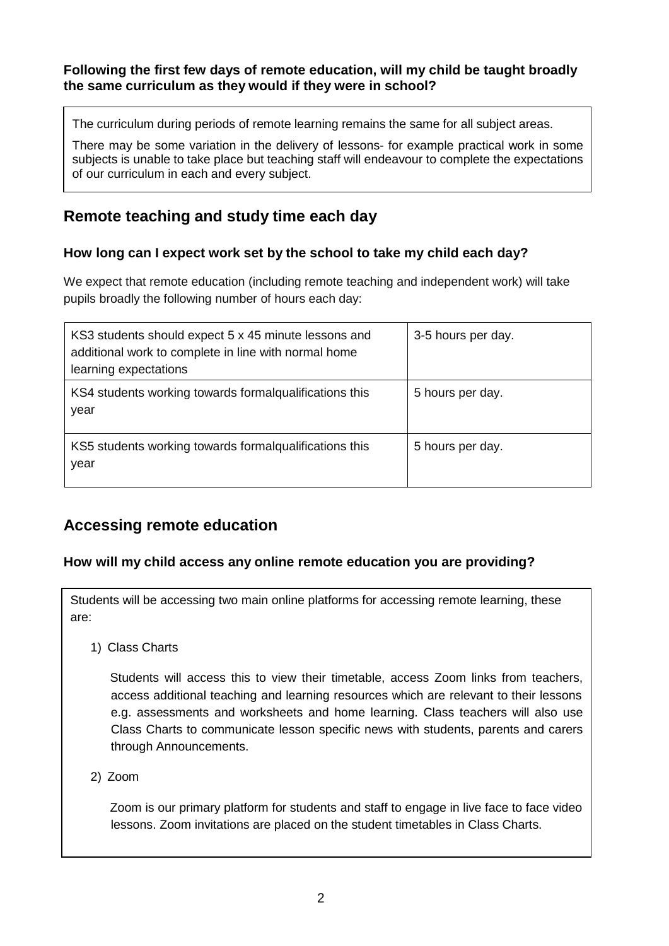#### **Following the first few days of remote education, will my child be taught broadly the same curriculum as they would if they were in school?**

The curriculum during periods of remote learning remains the same for all subject areas.

There may be some variation in the delivery of lessons- for example practical work in some subjects is unable to take place but teaching staff will endeavour to complete the expectations of our curriculum in each and every subject.

# **Remote teaching and study time each day**

### **How long can I expect work set by the school to take my child each day?**

We expect that remote education (including remote teaching and independent work) will take pupils broadly the following number of hours each day:

| KS3 students should expect 5 x 45 minute lessons and<br>additional work to complete in line with normal home<br>learning expectations | 3-5 hours per day. |
|---------------------------------------------------------------------------------------------------------------------------------------|--------------------|
| KS4 students working towards formal qualifications this<br>year                                                                       | 5 hours per day.   |
| KS5 students working towards formal qualifications this<br>year                                                                       | 5 hours per day.   |

# **Accessing remote education**

#### **How will my child access any online remote education you are providing?**

Students will be accessing two main online platforms for accessing remote learning, these are:

1) Class Charts

Students will access this to view their timetable, access Zoom links from teachers, access additional teaching and learning resources which are relevant to their lessons e.g. assessments and worksheets and home learning. Class teachers will also use Class Charts to communicate lesson specific news with students, parents and carers through Announcements.

2) Zoom

Zoom is our primary platform for students and staff to engage in live face to face video lessons. Zoom invitations are placed on the student timetables in Class Charts.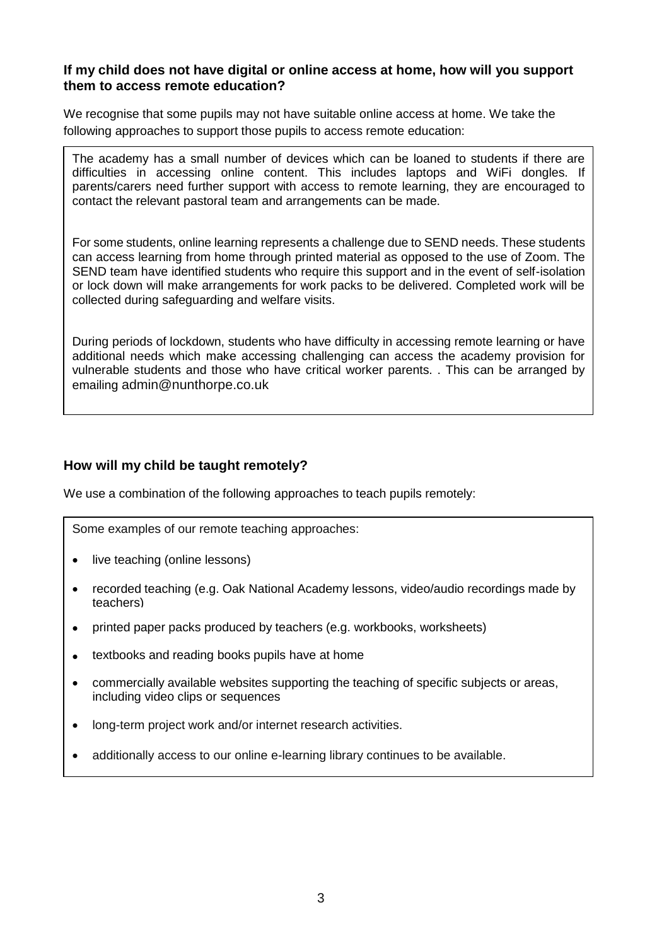#### **If my child does not have digital or online access at home, how will you support them to access remote education?**

We recognise that some pupils may not have suitable online access at home. We take the following approaches to support those pupils to access remote education:

The academy has a small number of devices which can be loaned to students if there are difficulties in accessing online content. This includes laptops and WiFi dongles. If parents/carers need further support with access to remote learning, they are encouraged to contact the relevant pastoral team and arrangements can be made.

For some students, online learning represents a challenge due to SEND needs. These students can access learning from home through printed material as opposed to the use of Zoom. The SEND team have identified students who require this support and in the event of self-isolation or lock down will make arrangements for work packs to be delivered. Completed work will be collected during safeguarding and welfare visits.

During periods of lockdown, students who have difficulty in accessing remote learning or have additional needs which make accessing challenging can access the academy provision for vulnerable students and those who have critical worker parents. . This can be arranged by emailing [admin@nunthorpe.co.uk](mailto:admin@nunthorpe.co.uk)

#### **How will my child be taught remotely?**

We use a combination of the following approaches to teach pupils remotely:

Some examples of our remote teaching approaches:

- live teaching (online lessons)
- recorded teaching (e.g. Oak National Academy lessons, video/audio recordings made by teachers)
- $\bullet$ printed paper packs produced by teachers (e.g. workbooks, worksheets)
- $\bullet$ textbooks and reading books pupils have at home
- commercially available websites supporting the teaching of specific subjects or areas, including video clips or sequences
- long-term project work and/or internet research activities.
- additionally access to our online e-learning library continues to be available.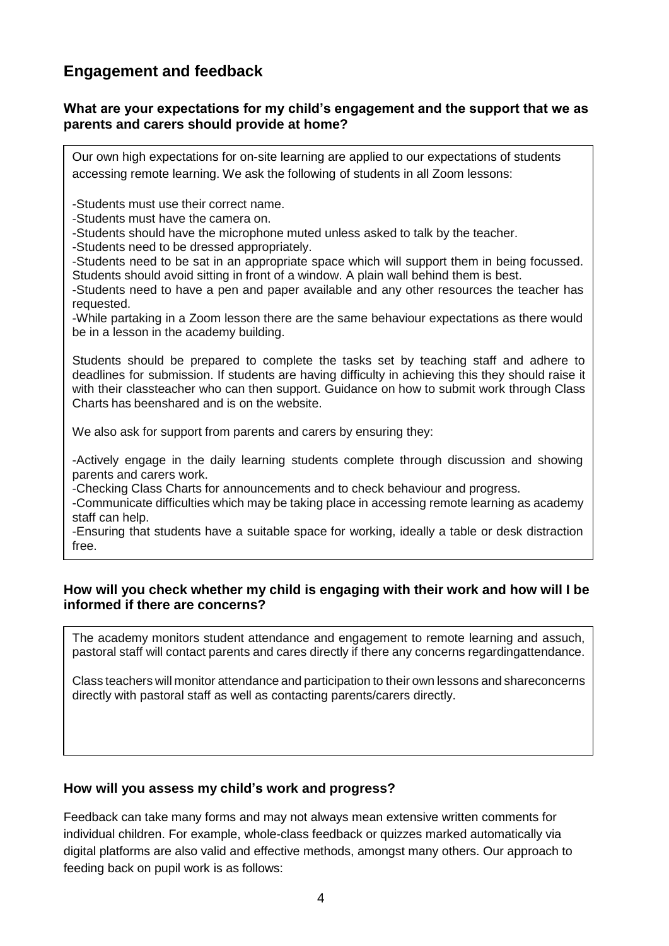# **Engagement and feedback**

### **What are your expectations for my child's engagement and the support that we as parents and carers should provide at home?**

| Our own high expectations for on-site learning are applied to our expectations of students<br>accessing remote learning. We ask the following of students in all Zoom lessons:                                                                                                                                                                                                                                                                                                                                   |
|------------------------------------------------------------------------------------------------------------------------------------------------------------------------------------------------------------------------------------------------------------------------------------------------------------------------------------------------------------------------------------------------------------------------------------------------------------------------------------------------------------------|
| -Students must use their correct name.<br>-Students must have the camera on.<br>-Students should have the microphone muted unless asked to talk by the teacher.<br>-Students need to be dressed appropriately.<br>-Students need to be sat in an appropriate space which will support them in being focussed.<br>Students should avoid sitting in front of a window. A plain wall behind them is best.<br>-Students need to have a pen and paper available and any other resources the teacher has<br>requested. |
| -While partaking in a Zoom lesson there are the same behaviour expectations as there would<br>be in a lesson in the academy building.                                                                                                                                                                                                                                                                                                                                                                            |
| Students should be prepared to complete the tasks set by teaching staff and adhere to<br>deadlines for submission. If students are having difficulty in achieving this they should raise it<br>with their classteacher who can then support. Guidance on how to submit work through Class<br>Charts has beenshared and is on the website.                                                                                                                                                                        |
| We also ask for support from parents and carers by ensuring they:                                                                                                                                                                                                                                                                                                                                                                                                                                                |
| -Actively engage in the daily learning students complete through discussion and showing<br>parents and carers work.<br>-Checking Class Charts for announcements and to check behaviour and progress.<br>-Communicate difficulties which may be taking place in accessing remote learning as academy<br>staff can help.<br>-Ensuring that students have a suitable space for working, ideally a table or desk distraction<br>free.                                                                                |
|                                                                                                                                                                                                                                                                                                                                                                                                                                                                                                                  |

### **How will you check whether my child is engaging with their work and how will I be informed if there are concerns?**

The academy monitors student attendance and engagement to remote learning and assuch, pastoral staff will contact parents and cares directly if there any concerns regardingattendance.

Class teachers will monitor attendance and participation to their own lessons and shareconcerns directly with pastoral staff as well as contacting parents/carers directly.

#### **How will you assess my child's work and progress?**

Feedback can take many forms and may not always mean extensive written comments for individual children. For example, whole-class feedback or quizzes marked automatically via digital platforms are also valid and effective methods, amongst many others. Our approach to feeding back on pupil work is as follows: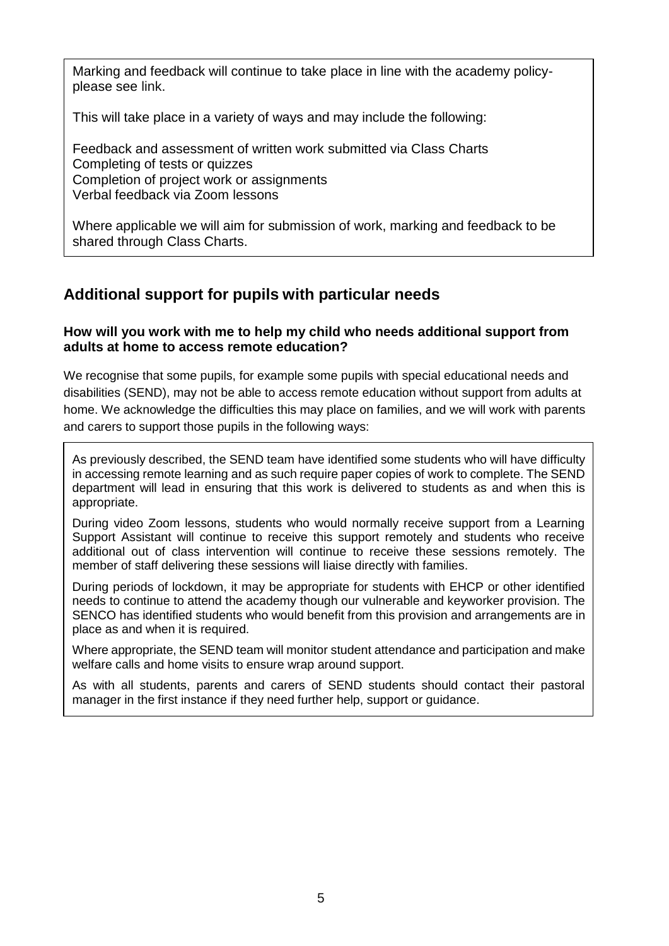Marking and feedback will continue to take place in line with the academy policyplease see [link.](https://www.nunthorpe.co.uk/our-academy/policies/home-learning)

This will take place in a variety of ways and may include the following:

Feedback and assessment of written work submitted via Class Charts Completing of tests or quizzes Completion of project work or assignments Verbal feedback via Zoom lessons

Where applicable we will aim for submission of work, marking and feedback to be shared through Class Charts.

# **Additional support for pupils with particular needs**

### **How will you work with me to help my child who needs additional support from adults at home to access remote education?**

We recognise that some pupils, for example some pupils with special educational needs and disabilities (SEND), may not be able to access remote education without support from adults at home. We acknowledge the difficulties this may place on families, and we will work with parents and carers to support those pupils in the following ways:

As previously described, the SEND team have identified some students who will have difficulty in accessing remote learning and as such require paper copies of work to complete. The SEND department will lead in ensuring that this work is delivered to students as and when this is appropriate.

During video Zoom lessons, students who would normally receive support from a Learning Support Assistant will continue to receive this support remotely and students who receive additional out of class intervention will continue to receive these sessions remotely. The member of staff delivering these sessions will liaise directly with families.

During periods of lockdown, it may be appropriate for students with EHCP or other identified needs to continue to attend the academy though our vulnerable and keyworker provision. The SENCO has identified students who would benefit from this provision and arrangements are in place as and when it is required.

Where appropriate, the SEND team will monitor student attendance and participation and make welfare calls and home visits to ensure wrap around support.

As with all students, parents and carers of SEND students should contact their pastoral manager in the first instance if they need further help, support or guidance.